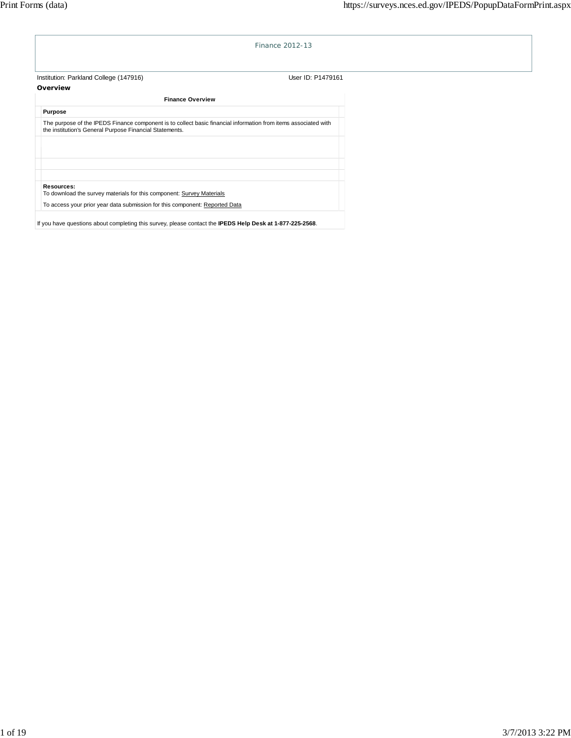

If you have questions about completing this survey, please contact the **IPEDS Help Desk at 1-877-225-2568**.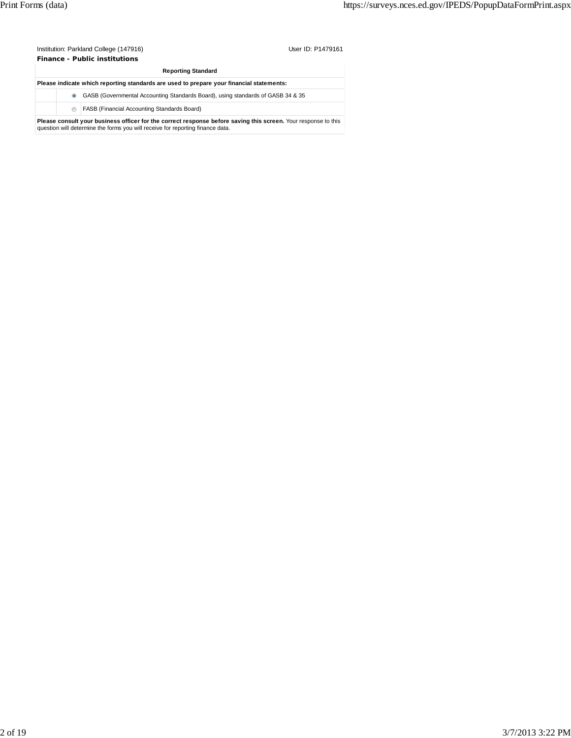Institution: Parkland College (147916) Contract the User ID: P1479161 **Finance - Public institutions**

| <b>Reporting Standard</b>                                                                |                                                                                                                                                                                                  |  |  |  |  |  |
|------------------------------------------------------------------------------------------|--------------------------------------------------------------------------------------------------------------------------------------------------------------------------------------------------|--|--|--|--|--|
| Please indicate which reporting standards are used to prepare your financial statements: |                                                                                                                                                                                                  |  |  |  |  |  |
| $\bullet$                                                                                | GASB (Governmental Accounting Standards Board), using standards of GASB 34 & 35                                                                                                                  |  |  |  |  |  |
| ⊜                                                                                        | FASB (Financial Accounting Standards Board)                                                                                                                                                      |  |  |  |  |  |
|                                                                                          | Please consult your business officer for the correct response before saving this screen. Your response to this<br>question will determine the forms you will receive for reporting finance data. |  |  |  |  |  |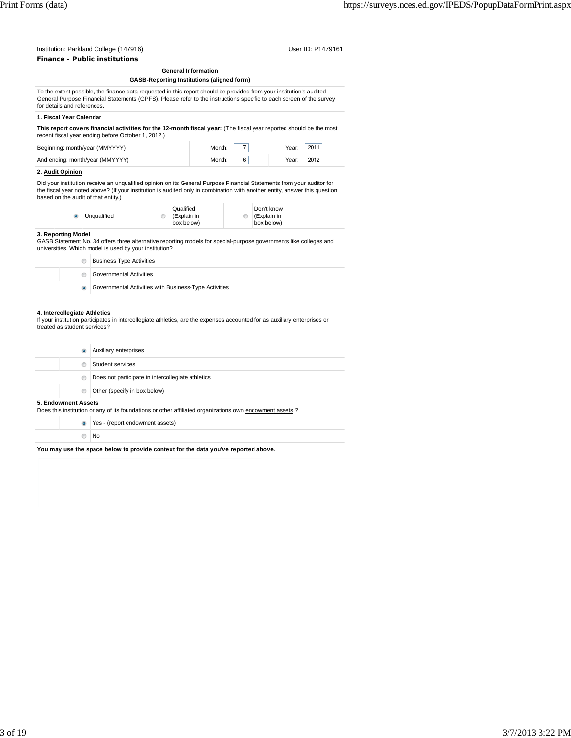| Institution: Parkland College (147916) | User ID: P1479161 |
|----------------------------------------|-------------------|
| <b>Finance - Public institutions</b>   |                   |
| <b>General Information</b>             |                   |

|                                                                                                                                |                                                                                                                                                                                                                                                                            |                                                                                                                                                                                                                                                     |                      | General Information<br><b>GASB-Reporting Institutions (aligned form)</b> |         |                                         |      |  |
|--------------------------------------------------------------------------------------------------------------------------------|----------------------------------------------------------------------------------------------------------------------------------------------------------------------------------------------------------------------------------------------------------------------------|-----------------------------------------------------------------------------------------------------------------------------------------------------------------------------------------------------------------------------------------------------|----------------------|--------------------------------------------------------------------------|---------|-----------------------------------------|------|--|
|                                                                                                                                | To the extent possible, the finance data requested in this report should be provided from your institution's audited<br>General Purpose Financial Statements (GPFS). Please refer to the instructions specific to each screen of the survey<br>for details and references. |                                                                                                                                                                                                                                                     |                      |                                                                          |         |                                         |      |  |
|                                                                                                                                | 1. Fiscal Year Calendar                                                                                                                                                                                                                                                    |                                                                                                                                                                                                                                                     |                      |                                                                          |         |                                         |      |  |
|                                                                                                                                |                                                                                                                                                                                                                                                                            | This report covers financial activities for the 12-month fiscal year: (The fiscal year reported should be the most<br>recent fiscal year ending before October 1, 2012.)                                                                            |                      |                                                                          |         |                                         |      |  |
|                                                                                                                                |                                                                                                                                                                                                                                                                            | Beginning: month/year (MMYYYY)                                                                                                                                                                                                                      |                      | Month:                                                                   | 7       | Year:                                   | 2011 |  |
|                                                                                                                                | 6<br>And ending: month/year (MMYYYY)<br>Month:<br>Year:<br>2012                                                                                                                                                                                                            |                                                                                                                                                                                                                                                     |                      |                                                                          |         |                                         |      |  |
|                                                                                                                                | 2. Audit Opinion                                                                                                                                                                                                                                                           |                                                                                                                                                                                                                                                     |                      |                                                                          |         |                                         |      |  |
|                                                                                                                                | based on the audit of that entity.)                                                                                                                                                                                                                                        | Did your institution receive an unqualified opinion on its General Purpose Financial Statements from your auditor for<br>the fiscal year noted above? (If your institution is audited only in combination with another entity, answer this question |                      |                                                                          |         |                                         |      |  |
|                                                                                                                                |                                                                                                                                                                                                                                                                            | Unqualified                                                                                                                                                                                                                                         | Qualified<br>$\circ$ | (Explain in<br>box below)                                                | $\odot$ | Don't know<br>(Explain in<br>box below) |      |  |
|                                                                                                                                | 3. Reporting Model                                                                                                                                                                                                                                                         | GASB Statement No. 34 offers three alternative reporting models for special-purpose governments like colleges and<br>universities. Which model is used by your institution?                                                                         |                      |                                                                          |         |                                         |      |  |
|                                                                                                                                | $^{\circ}$                                                                                                                                                                                                                                                                 | <b>Business Type Activities</b>                                                                                                                                                                                                                     |                      |                                                                          |         |                                         |      |  |
|                                                                                                                                | $\circ$                                                                                                                                                                                                                                                                    | <b>Governmental Activities</b>                                                                                                                                                                                                                      |                      |                                                                          |         |                                         |      |  |
|                                                                                                                                | Ö)                                                                                                                                                                                                                                                                         | Governmental Activities with Business-Type Activities                                                                                                                                                                                               |                      |                                                                          |         |                                         |      |  |
|                                                                                                                                | 4. Intercollegiate Athletics<br>treated as student services?                                                                                                                                                                                                               | If your institution participates in intercollegiate athletics, are the expenses accounted for as auxiliary enterprises or                                                                                                                           |                      |                                                                          |         |                                         |      |  |
|                                                                                                                                |                                                                                                                                                                                                                                                                            |                                                                                                                                                                                                                                                     |                      |                                                                          |         |                                         |      |  |
|                                                                                                                                | $\bullet$                                                                                                                                                                                                                                                                  | Auxiliary enterprises                                                                                                                                                                                                                               |                      |                                                                          |         |                                         |      |  |
|                                                                                                                                | ⊙                                                                                                                                                                                                                                                                          | Student services                                                                                                                                                                                                                                    |                      |                                                                          |         |                                         |      |  |
|                                                                                                                                | Does not participate in intercollegiate athletics<br>$\odot$                                                                                                                                                                                                               |                                                                                                                                                                                                                                                     |                      |                                                                          |         |                                         |      |  |
|                                                                                                                                | O                                                                                                                                                                                                                                                                          | Other (specify in box below)                                                                                                                                                                                                                        |                      |                                                                          |         |                                         |      |  |
| 5. Endowment Assets<br>Does this institution or any of its foundations or other affiliated organizations own endowment assets? |                                                                                                                                                                                                                                                                            |                                                                                                                                                                                                                                                     |                      |                                                                          |         |                                         |      |  |
|                                                                                                                                |                                                                                                                                                                                                                                                                            | Yes - (report endowment assets)                                                                                                                                                                                                                     |                      |                                                                          |         |                                         |      |  |
|                                                                                                                                | m                                                                                                                                                                                                                                                                          | No                                                                                                                                                                                                                                                  |                      |                                                                          |         |                                         |      |  |
|                                                                                                                                |                                                                                                                                                                                                                                                                            | You may use the space below to provide context for the data you've reported above.                                                                                                                                                                  |                      |                                                                          |         |                                         |      |  |
|                                                                                                                                |                                                                                                                                                                                                                                                                            |                                                                                                                                                                                                                                                     |                      |                                                                          |         |                                         |      |  |
|                                                                                                                                |                                                                                                                                                                                                                                                                            |                                                                                                                                                                                                                                                     |                      |                                                                          |         |                                         |      |  |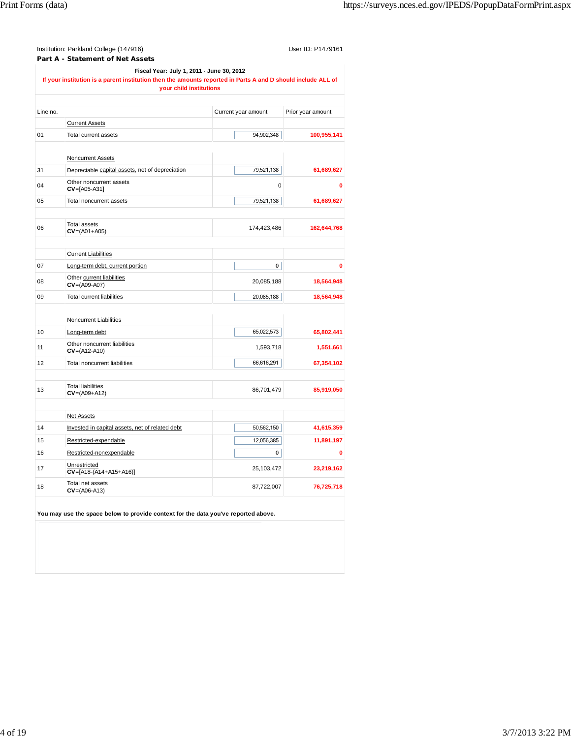|          | Institution: Parkland College (147916)<br>Part A - Statement of Net Assets                                                                                                           |                     | User ID: P1479161 |
|----------|--------------------------------------------------------------------------------------------------------------------------------------------------------------------------------------|---------------------|-------------------|
|          | Fiscal Year: July 1, 2011 - June 30, 2012<br>If your institution is a parent institution then the amounts reported in Parts A and D should include ALL of<br>your child institutions |                     |                   |
| Line no. |                                                                                                                                                                                      | Current year amount | Prior year amount |
|          | <b>Current Assets</b>                                                                                                                                                                |                     |                   |
| 01       | Total current assets                                                                                                                                                                 | 94,902,348          | 100,955,141       |
|          |                                                                                                                                                                                      |                     |                   |
|          | <b>Noncurrent Assets</b>                                                                                                                                                             |                     |                   |
| 31       | Depreciable capital assets, net of depreciation                                                                                                                                      | 79,521,138          | 61,689,627        |
| 04       | Other noncurrent assets<br>$CV=[A05-A31]$                                                                                                                                            | 0                   | 0                 |
| 05       | Total noncurrent assets                                                                                                                                                              | 79,521,138          | 61,689,627        |
| 06       | <b>Total assets</b><br>$CV = (AO1 + AO5)$                                                                                                                                            | 174,423,486         | 162,644,768       |
|          | <b>Current Liabilities</b>                                                                                                                                                           |                     |                   |
| 07       | Long-term debt, current portion                                                                                                                                                      | 0                   | 0                 |
| 08       | Other current liabilities<br>$CV = (A09 - A07)$                                                                                                                                      | 20,085,188          | 18,564,948        |
| 09       | <b>Total current liabilities</b>                                                                                                                                                     | 20,085,188          | 18,564,948        |
|          | <b>Noncurrent Liabilities</b>                                                                                                                                                        |                     |                   |
| 10       | Long-term debt                                                                                                                                                                       | 65,022,573          | 65,802,441        |
| 11       | Other noncurrent liabilities<br>$CV = (A12 - A10)$                                                                                                                                   | 1,593,718           | 1,551,661         |
| 12       | Total noncurrent liabilities                                                                                                                                                         | 66,616,291          | 67,354,102        |
| 13       | <b>Total liabilities</b><br>$CV = (AO9 + A12)$                                                                                                                                       | 86,701,479          | 85,919,050        |
|          | <b>Net Assets</b>                                                                                                                                                                    |                     |                   |
| 14       | Invested in capital assets, net of related debt                                                                                                                                      | 50,562,150          | 41,615,359        |
| 15       | Restricted-expendable                                                                                                                                                                | 12,056,385          | 11,891,197        |
| 16       | Restricted-nonexpendable                                                                                                                                                             | 0                   | 0                 |
| 17       | Unrestricted<br>$CV=[A18-(A14+A15+A16)]$                                                                                                                                             | 25,103,472          | 23,219,162        |
| 18       | Total net assets<br>$CV=(AO6-A13)$                                                                                                                                                   | 87,722,007          | 76,725,718        |
|          | You may use the space below to provide context for the data you've reported above.                                                                                                   |                     |                   |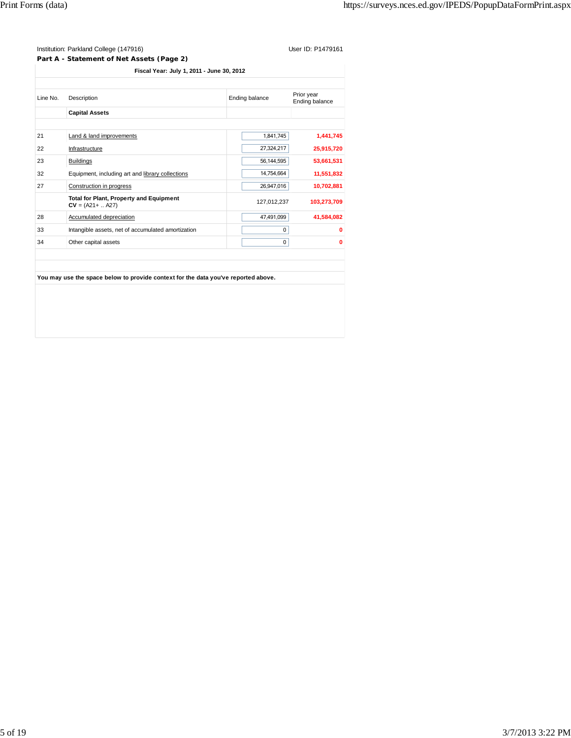|          | Part A - Statement of Net Assets (Page 2)                             |                |                              |
|----------|-----------------------------------------------------------------------|----------------|------------------------------|
|          | Fiscal Year: July 1, 2011 - June 30, 2012                             |                |                              |
|          |                                                                       |                |                              |
| Line No. | Description                                                           | Ending balance | Prior year<br>Ending balance |
|          | <b>Capital Assets</b>                                                 |                |                              |
|          |                                                                       |                |                              |
| 21       | Land & land improvements                                              | 1,841,745      | 1,441,745                    |
| 22       | Infrastructure                                                        | 27,324,217     | 25,915,720                   |
| 23       | <b>Buildings</b>                                                      | 56,144,595     | 53,661,531                   |
| 32       | Equipment, including art and library collections                      | 14,754,664     | 11,551,832                   |
| 27       | Construction in progress                                              | 26,947,016     | 10,702,881                   |
|          | <b>Total for Plant, Property and Equipment</b><br>$CV = (A21 +  A27)$ | 127,012,237    | 103,273,709                  |
| 28       | Accumulated depreciation                                              | 47,491,099     | 41,584,082                   |
| 33       | Intangible assets, net of accumulated amortization                    |                | 0<br>0                       |

of the capital assets **0** 0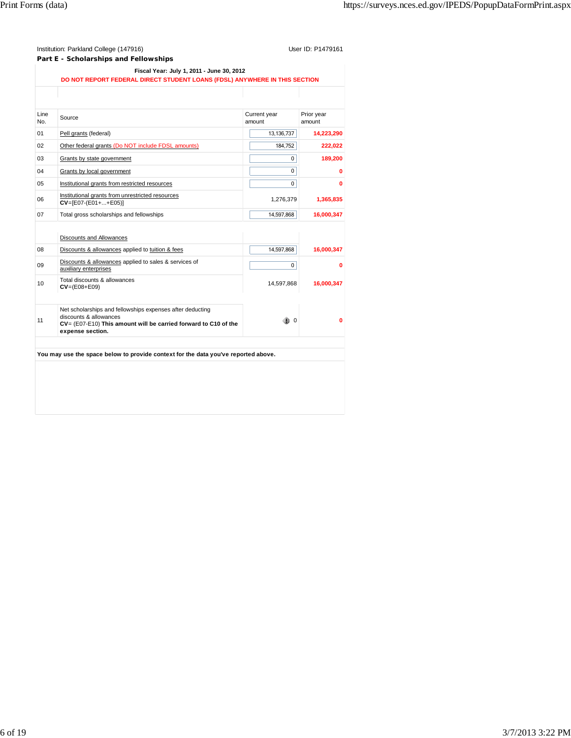| Institution: Parkland College (147916)    | User ID: P1479161 |
|-------------------------------------------|-------------------|
| Part E - Scholarships and Fellowships     |                   |
| Fiscal Year: July 1, 2011 - June 30, 2012 |                   |
|                                           |                   |

| Source<br>Pell grants (federal)<br>Other federal grants (Do NOT include FDSL amounts)<br>Grants by state government<br>Grants by local government<br>Institutional grants from restricted resources | Current year<br>amount<br>13,136,737<br>184,752<br>0<br>$\Omega$ | Prior year<br>amount<br>14,223,290<br>222,022<br>189,200<br>0 |
|-----------------------------------------------------------------------------------------------------------------------------------------------------------------------------------------------------|------------------------------------------------------------------|---------------------------------------------------------------|
|                                                                                                                                                                                                     |                                                                  |                                                               |
|                                                                                                                                                                                                     |                                                                  |                                                               |
|                                                                                                                                                                                                     |                                                                  |                                                               |
|                                                                                                                                                                                                     |                                                                  |                                                               |
|                                                                                                                                                                                                     |                                                                  |                                                               |
|                                                                                                                                                                                                     |                                                                  |                                                               |
|                                                                                                                                                                                                     | 0                                                                | 0                                                             |
| Institutional grants from unrestricted resources<br>$CV=[E07-(E01++E05)]$                                                                                                                           | 1,276,379                                                        | 1,365,835                                                     |
| Total gross scholarships and fellowships                                                                                                                                                            | 14,597,868                                                       | 16,000,347                                                    |
|                                                                                                                                                                                                     |                                                                  |                                                               |
| <b>Discounts and Allowances</b>                                                                                                                                                                     |                                                                  |                                                               |
| Discounts & allowances applied to tuition & fees                                                                                                                                                    | 14,597,868                                                       | 16,000,347                                                    |
| Discounts & allowances applied to sales & services of<br>auxiliary enterprises                                                                                                                      | $\mathbf 0$                                                      | 0                                                             |
| Total discounts & allowances<br>$CV = (E08 + E09)$                                                                                                                                                  |                                                                  | 16,000,347                                                    |
|                                                                                                                                                                                                     |                                                                  |                                                               |
| Net scholarships and fellowships expenses after deducting<br>discounts & allowances<br>CV= (E07-E10) This amount will be carried forward to C10 of the<br>expense section.                          |                                                                  | 0                                                             |
|                                                                                                                                                                                                     |                                                                  | 14,597,868<br>$\overline{0}$                                  |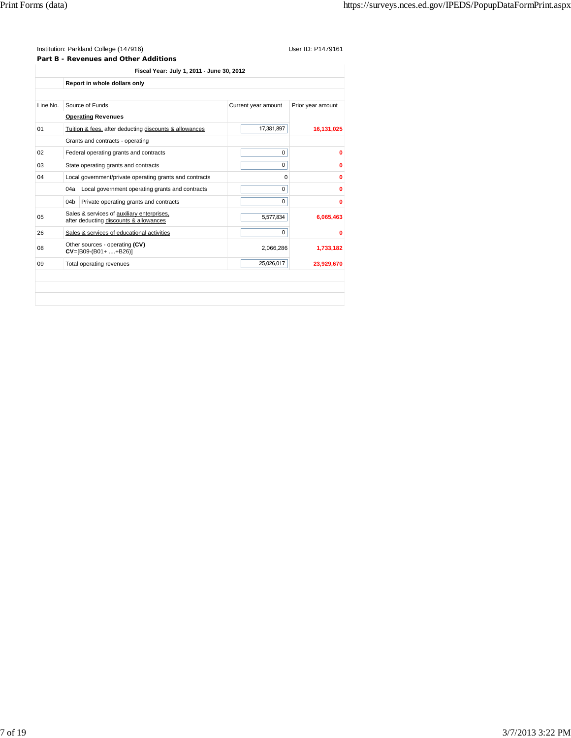**Part B - Revenues and Other Additions**

|                | Report in whole dollars only                                                         |                     |                   |
|----------------|--------------------------------------------------------------------------------------|---------------------|-------------------|
| Line No.       | Source of Funds                                                                      | Current year amount | Prior year amount |
|                | <b>Operating Revenues</b>                                                            |                     |                   |
| 01             | Tuition & fees, after deducting discounts & allowances                               | 17,381,897          | 16,131,025        |
|                | Grants and contracts - operating                                                     |                     |                   |
| 02             | Federal operating grants and contracts                                               | 0                   | $\bf{0}$          |
| 03             | State operating grants and contracts                                                 | Ω                   |                   |
| 04             | Local government/private operating grants and contracts                              | 0                   | 0                 |
|                | Local government operating grants and contracts<br>04a                               | 0                   | 0                 |
|                | Private operating grants and contracts<br>04b                                        | 0                   | $\bf{0}$          |
| 0 <sub>5</sub> | Sales & services of auxiliary enterprises,<br>after deducting discounts & allowances | 5,577,834           | 6,065,463         |
| 26             | Sales & services of educational activities                                           | 0                   | $\mathbf{0}$      |
| 08             | Other sources - operating (CV)<br>$CV=[B09-(B01+ \ldots+B26)]$                       | 2,066,286           | 1,733,182         |
| 09             | Total operating revenues                                                             | 25,026,017          | 23,929,670        |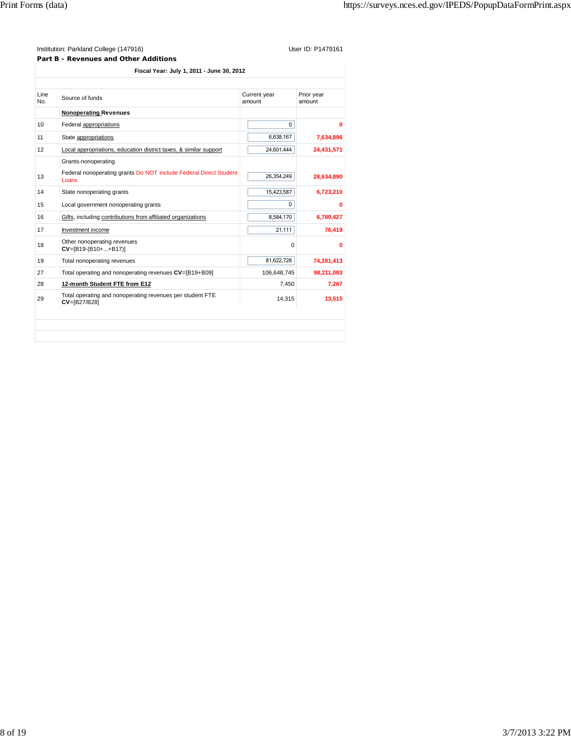**Part B - Revenues and Other Additions**

**Fiscal Year: July 1, 2011 - June 30, 2012**

| Line<br>No.     | Source of funds                                                               | Current year<br>amount | Prior year<br>amount |
|-----------------|-------------------------------------------------------------------------------|------------------------|----------------------|
|                 | <b>Nonoperating Revenues</b>                                                  |                        |                      |
| 10 <sup>1</sup> | Federal appropriations                                                        | $\Omega$               | Ω                    |
| 11              | State appropriations                                                          | 6,638,167              | 7,634,896            |
| 12              | Local appropriations, education district taxes, & similar support             | 24,601,444             | 24,431,571           |
|                 | Grants-nonoperating                                                           |                        |                      |
| 13              | Federal nonoperating grants Do NOT include Federal Direct Student<br>Loans    | 26,354,249             | 28,634,890           |
| 14              | State nonoperating grants                                                     | 15,423,587             | 6,723,210            |
| 15              | Local government nonoperating grants                                          | $\Omega$               | Ω                    |
| 16              | Gifts, including contributions from affiliated organizations                  | 8,584,170              | 6,780,427            |
| 17              | Investment income                                                             | 21,111                 | 76,419               |
| 18              | Other nonoperating revenues<br>$CV = [B19-(B10++B17)]$                        | $\Omega$               | 0                    |
| 19              | Total nonoperating revenues                                                   | 81,622,728             | 74,281,413           |
| 27              | Total operating and nonoperating revenues CV=[B19+B09]                        | 106,648,745            | 98,211,083           |
| 28              | 12-month Student FTE from E12                                                 | 7,450                  | 7.267                |
| 29              | Total operating and nonoperating revenues per student FTE<br>$CV = [B27/B28]$ | 14.315                 | 13,515               |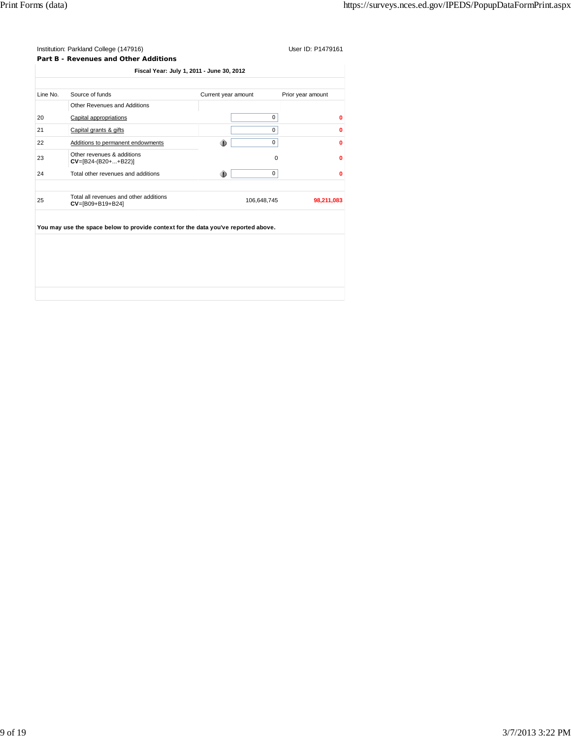**Part B - Revenues and Other Additions**

| Line No. | Source of funds                                                                    | Current year amount | Prior year amount |
|----------|------------------------------------------------------------------------------------|---------------------|-------------------|
|          | Other Revenues and Additions                                                       |                     |                   |
| 20       | Capital appropriations                                                             | 0                   | O                 |
| 21       | Capital grants & gifts                                                             | 0                   | Ω                 |
| 22       | Additions to permanent endowments                                                  | 0<br>۰              | 0                 |
| 23       | Other revenues & additions<br>$CV=[B24-(B20++B22)]$                                | $\Omega$            | 0                 |
| 24       | Total other revenues and additions                                                 | ®<br>0              | 0                 |
| 25       | Total all revenues and other additions<br>$CV = [B09 + B19 + B24]$                 | 106,648,745         | 98,211,083        |
|          | You may use the space below to provide context for the data you've reported above. |                     |                   |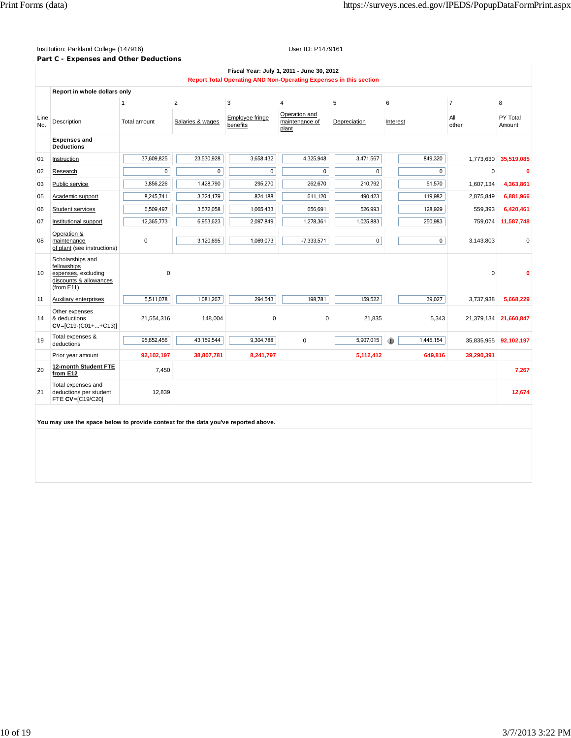# **Part C - Expenses and Other Deductions**

|             | Fiscal Year: July 1, 2011 - June 30, 2012<br>Report Total Operating AND Non-Operating Expenses in this section |              |                  |                             |                                          |              |                |                |                    |
|-------------|----------------------------------------------------------------------------------------------------------------|--------------|------------------|-----------------------------|------------------------------------------|--------------|----------------|----------------|--------------------|
|             | Report in whole dollars only                                                                                   |              |                  |                             |                                          |              |                |                |                    |
|             |                                                                                                                | $\mathbf{1}$ | $\overline{2}$   | 3                           | $\overline{4}$                           | 5            | 6              | $\overline{7}$ | 8                  |
| Line<br>No. | Description                                                                                                    | Total amount | Salaries & wages | Employee fringe<br>benefits | Operation and<br>maintenance of<br>plant | Depreciation | Interest       | All<br>other   | PY Total<br>Amount |
|             | <b>Expenses and</b><br><b>Deductions</b>                                                                       |              |                  |                             |                                          |              |                |                |                    |
| 01          | Instruction                                                                                                    | 37,609,825   | 23,530,928       | 3,658,432                   | 4,325,948                                | 3,471,567    | 849,320        | 1,773,630      | 35.519.085         |
| 02          | Research                                                                                                       | $\mathbf 0$  | $\mathbf 0$      | $\mathbf 0$                 | $\pmb{0}$                                | $\mathbf 0$  | 0              | $\mathbf 0$    |                    |
| 03          | Public service                                                                                                 | 3,856,226    | 1,428,790        | 295,270                     | 262.670                                  | 210,792      | 51,570         | 1,607,134      | 4,363,861          |
| 05          | Academic support                                                                                               | 8,245,741    | 3,324,179        | 824,188                     | 611,120                                  | 490,423      | 119,982        | 2,875,849      | 6,881,966          |
| 06          | Student services                                                                                               | 6,509,497    | 3,572,058        | 1,065,433                   | 656,691                                  | 526,993      | 128,929        | 559,393        | 6,420,461          |
| 07          | Institutional support                                                                                          | 12,365,773   | 6,953,623        | 2,097,849                   | 1,278,361                                | 1,025,883    | 250,983        | 759,074        | 11,587,748         |
| 08          | Operation &<br>maintenance<br>of plant (see instructions)                                                      | 0            | 3,120,695        | 1,069,073                   | $-7,333,571$                             | $\mathsf 0$  | $\overline{0}$ | 3,143,803      | 0                  |
| 10          | Scholarships and<br>fellowships<br>expenses, excluding<br>discounts & allowances<br>(from E11)                 | $\mathbf 0$  |                  |                             |                                          |              |                | $\Omega$       |                    |
| 11          | Auxiliary enterprises                                                                                          | 5,511,078    | 1,081,267        | 294,543                     | 198,781                                  | 159,522      | 39,027         | 3,737,938      | 5,668,229          |
| 14          | Other expenses<br>& deductions<br>$CV=[C19-(C01++C13)]$                                                        | 21,554,316   | 148,004          | 0                           | $\mathbf 0$                              | 21,835       | 5,343          | 21,379,134     | 21,660,847         |
| 19          | Total expenses &<br>deductions                                                                                 | 95,652,456   | 43,159,544       | 9,304,788                   | 0                                        | 5,907,015    | 1,445,154<br>⊕ | 35,835,955     | 92,102,197         |
|             | Prior year amount                                                                                              | 92,102,197   | 38,807,781       | 8,241,797                   |                                          | 5,112,412    | 649,816        | 39,290,391     |                    |
| 20          | 12-month Student FTE<br>from E12                                                                               | 7,450        |                  |                             |                                          |              |                |                | 7,267              |
| 21          | Total expenses and<br>deductions per student<br>FTE CV=[C19/C20]                                               | 12,839       |                  |                             |                                          |              |                |                | 12,674             |
|             | You may use the space below to provide context for the data you've reported above.                             |              |                  |                             |                                          |              |                |                |                    |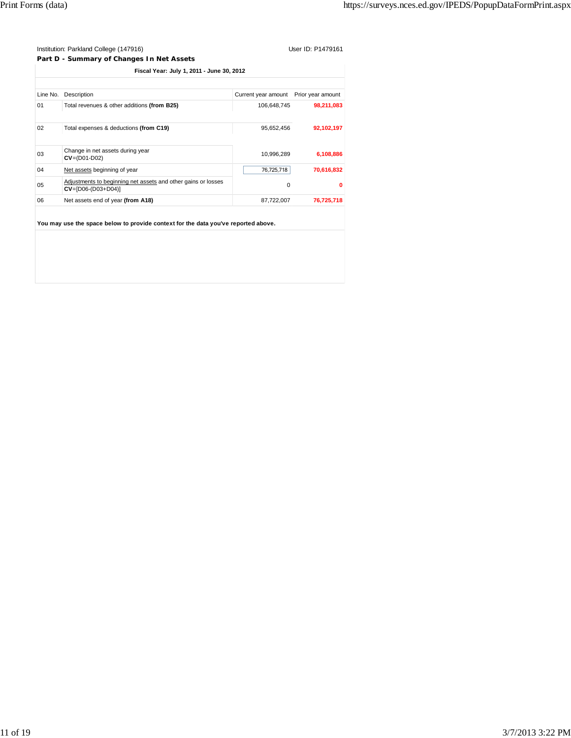**Part D - Summary of Changes In Net Assets**

|          | Fiscal Year: July 1, 2011 - June 30, 2012                                               |                                       |            |
|----------|-----------------------------------------------------------------------------------------|---------------------------------------|------------|
|          |                                                                                         |                                       |            |
| Line No. | Description                                                                             | Current year amount Prior year amount |            |
| 01       | Total revenues & other additions (from B25)                                             | 106.648.745                           | 98,211,083 |
|          |                                                                                         |                                       |            |
| 02       | Total expenses & deductions (from C19)                                                  | 95,652,456                            | 92,102,197 |
|          |                                                                                         |                                       |            |
| 03       | Change in net assets during year<br>$CV = (D01-D02)$                                    | 10,996,289                            | 6,108,886  |
| 04       | Net assets beginning of year                                                            | 76,725,718                            | 70,616,832 |
| 05       | Adjustments to beginning net assets and other gains or losses<br>$CV = [D06-(D03+D04)]$ | 0                                     | $\bf{0}$   |
| 06       | Net assets end of year (from A18)                                                       | 87,722,007                            | 76,725,718 |
|          |                                                                                         |                                       |            |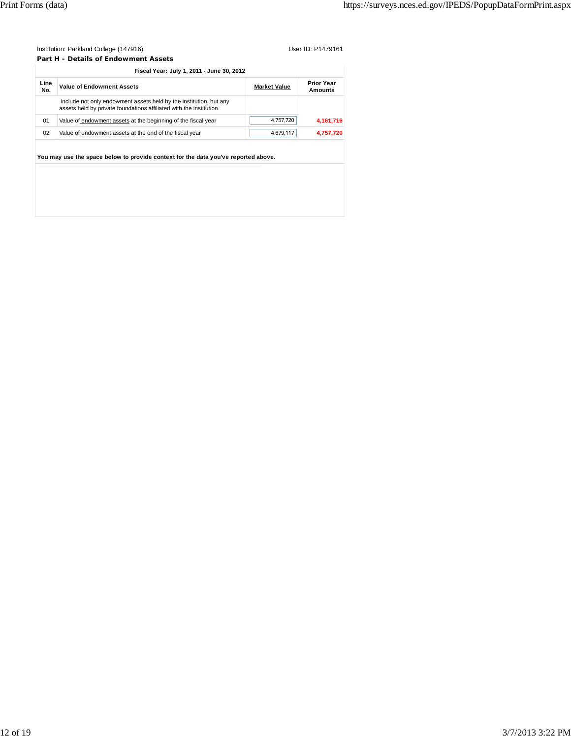**Part H - Details of Endowment Assets**

|    | Include not only endowment assets held by the institution, but any<br>assets held by private foundations affiliated with the institution. |           |           |
|----|-------------------------------------------------------------------------------------------------------------------------------------------|-----------|-----------|
| 01 | Value of endowment assets at the beginning of the fiscal year                                                                             | 4,757,720 | 4,161,716 |
| 02 | Value of endowment assets at the end of the fiscal year                                                                                   | 4,679,117 | 4,757,720 |
|    | You may use the space below to provide context for the data you've reported above.                                                        |           |           |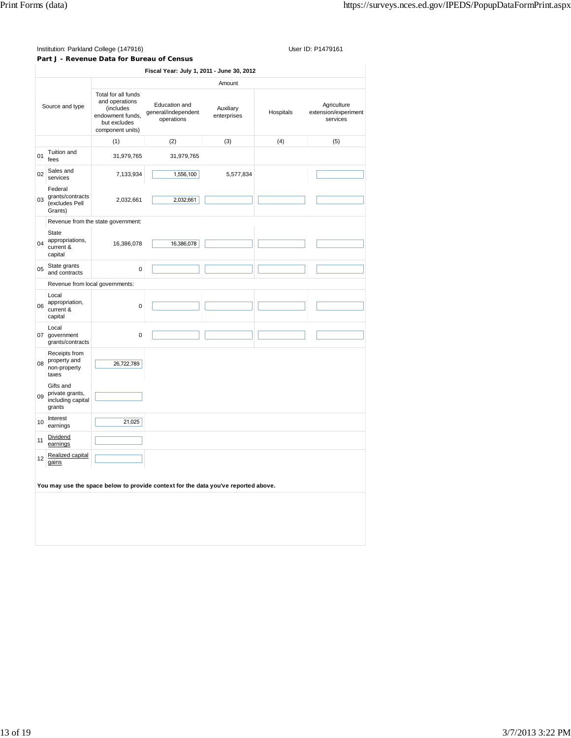**Part J - Revenue Data for Bureau of Census**

|                 |                                                             |                                                                                                            | Fiscal Year: July 1, 2011 - June 30, 2012                                          |           |           |                                                 |  |
|-----------------|-------------------------------------------------------------|------------------------------------------------------------------------------------------------------------|------------------------------------------------------------------------------------|-----------|-----------|-------------------------------------------------|--|
|                 |                                                             |                                                                                                            | Amount                                                                             |           |           |                                                 |  |
| Source and type |                                                             | Total for all funds<br>and operations<br>(includes<br>endowment funds,<br>but excludes<br>component units) | Education and<br>Auxiliary<br>general/independent<br>enterprises<br>operations     |           | Hospitals | Agriculture<br>extension/experiment<br>services |  |
|                 |                                                             | (1)                                                                                                        | (2)                                                                                | (3)       | (4)       | (5)                                             |  |
| 01              | Tuition and<br>fees                                         | 31,979,765                                                                                                 | 31,979,765                                                                         |           |           |                                                 |  |
| 02              | Sales and<br>services                                       | 7,133,934                                                                                                  | 1,556,100                                                                          | 5,577,834 |           |                                                 |  |
| 03              | Federal<br>grants/contracts<br>(excludes Pell<br>Grants)    | 2,032,661                                                                                                  | 2,032,661                                                                          |           |           |                                                 |  |
|                 |                                                             | Revenue from the state government:                                                                         |                                                                                    |           |           |                                                 |  |
| 04              | State<br>appropriations,<br>current &<br>capital            | 16,386,078                                                                                                 | 16,386,078                                                                         |           |           |                                                 |  |
| 05              | State grants<br>and contracts                               | $\pmb{0}$                                                                                                  |                                                                                    |           |           |                                                 |  |
|                 | Revenue from local governments:                             |                                                                                                            |                                                                                    |           |           |                                                 |  |
| 06              | Local<br>appropriation,<br>current &<br>capital             | $\mathbf 0$                                                                                                |                                                                                    |           |           |                                                 |  |
|                 | Local<br>07 government<br>grants/contracts                  | $\mathbf 0$                                                                                                |                                                                                    |           |           |                                                 |  |
| 08              | Receipts from<br>property and<br>non-property<br>taxes      | 26,722,789                                                                                                 |                                                                                    |           |           |                                                 |  |
| 09              | Gifts and<br>private grants,<br>including capital<br>grants |                                                                                                            |                                                                                    |           |           |                                                 |  |
| 10              | Interest<br>earnings                                        | 21,025                                                                                                     |                                                                                    |           |           |                                                 |  |
| 11              | Dividend<br>earnings                                        |                                                                                                            |                                                                                    |           |           |                                                 |  |
| 12              | Realized capital<br>gains                                   |                                                                                                            |                                                                                    |           |           |                                                 |  |
|                 |                                                             |                                                                                                            | You may use the space below to provide context for the data you've reported above. |           |           |                                                 |  |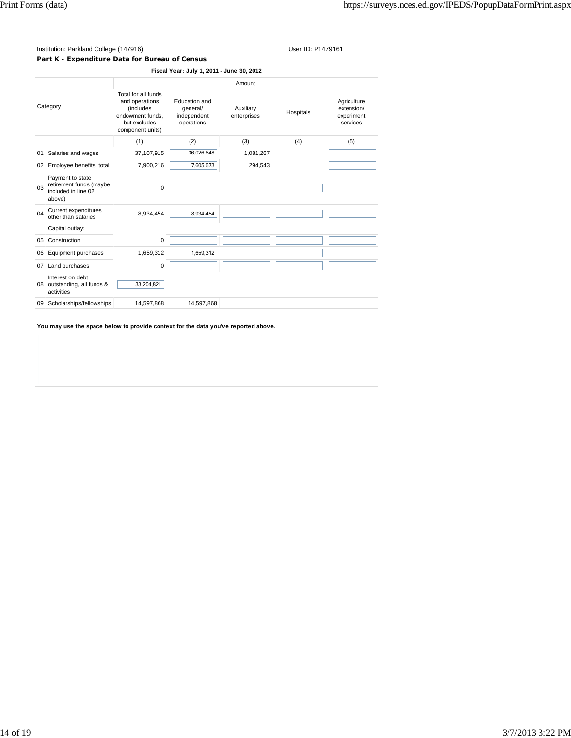### Institution: Parkland College (147916) Contract College (147916)

# **Part K - Expenditure Data for Bureau of Census**

|                      |                                                                              |                                                                                                                    |                                                                                    | Amount    |           |                                                     |
|----------------------|------------------------------------------------------------------------------|--------------------------------------------------------------------------------------------------------------------|------------------------------------------------------------------------------------|-----------|-----------|-----------------------------------------------------|
| Category             |                                                                              | Total for all funds<br>and operations<br><i>(includes)</i><br>endowment funds.<br>but excludes<br>component units) | Education and<br>qeneral/<br>Auxiliary<br>independent<br>enterprises<br>operations |           | Hospitals | Agriculture<br>extension/<br>experiment<br>services |
|                      |                                                                              | (1)                                                                                                                | (2)                                                                                | (3)       | (4)       | (5)                                                 |
| 01                   | Salaries and wages                                                           | 37,107,915                                                                                                         | 36,026,648                                                                         | 1,081,267 |           |                                                     |
|                      | 02 Employee benefits, total                                                  | 7,900,216                                                                                                          | 7,605,673                                                                          | 294,543   |           |                                                     |
| 03                   | Payment to state<br>retirement funds (maybe<br>included in line 02<br>above) | $\mathbf 0$                                                                                                        |                                                                                    |           |           |                                                     |
| 04                   | Current expenditures<br>other than salaries                                  | 8,934,454                                                                                                          | 8,934,454                                                                          |           |           |                                                     |
|                      | Capital outlay:                                                              |                                                                                                                    |                                                                                    |           |           |                                                     |
| 0 <sub>5</sub><br>06 | Construction<br>Equipment purchases                                          | 0<br>1,659,312                                                                                                     | 1,659,312                                                                          |           |           |                                                     |
| 07                   | Land purchases                                                               | 0                                                                                                                  |                                                                                    |           |           |                                                     |
|                      | Interest on debt<br>08 outstanding, all funds &<br>activities                | 33,204,821                                                                                                         |                                                                                    |           |           |                                                     |
| 09                   | Scholarships/fellowships                                                     | 14,597,868                                                                                                         | 14,597,868                                                                         |           |           |                                                     |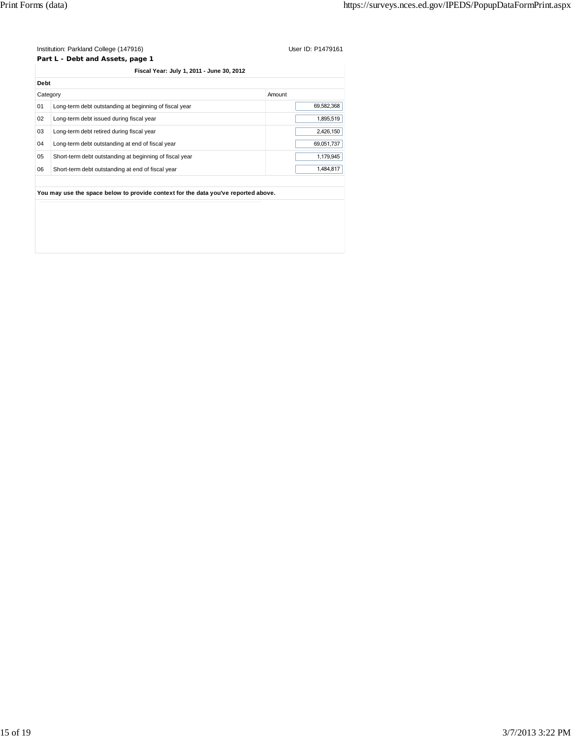**Part L - Debt and Assets, page 1 Fiscal Year: July 1, 2011 - June 30, 2012**

| Debt     |                                                         |            |
|----------|---------------------------------------------------------|------------|
| Category |                                                         | Amount     |
| 01       | Long-term debt outstanding at beginning of fiscal year  | 69.582.368 |
| 02       | Long-term debt issued during fiscal year                | 1.895.519  |
| 03       | Long-term debt retired during fiscal year               | 2,426,150  |
| 04       | Long-term debt outstanding at end of fiscal year        | 69.051.737 |
| 05       | Short-term debt outstanding at beginning of fiscal year | 1,179,945  |
| 06       | Short-term debt outstanding at end of fiscal year       | 1.484.817  |
|          |                                                         |            |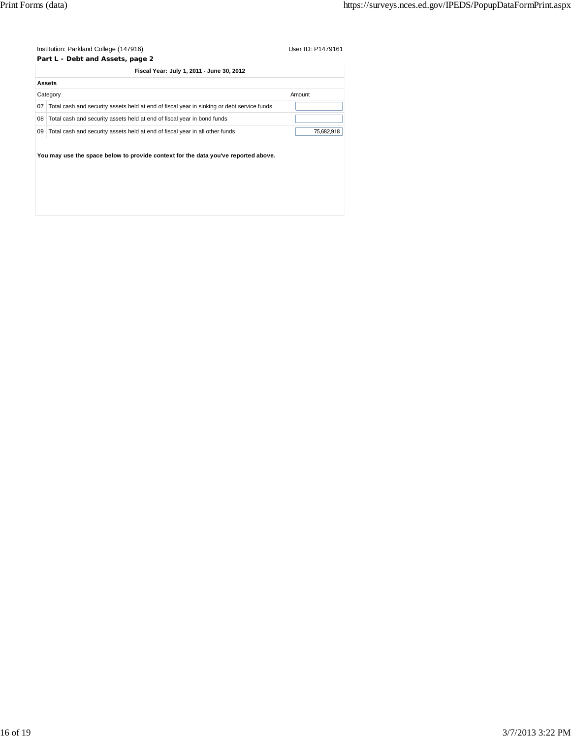|    | Institution: Parkland College (147916)                                                     | User ID: P1479161 |  |  |
|----|--------------------------------------------------------------------------------------------|-------------------|--|--|
|    | Part L - Debt and Assets, page 2                                                           |                   |  |  |
|    | Fiscal Year: July 1, 2011 - June 30, 2012                                                  |                   |  |  |
|    | Assets                                                                                     |                   |  |  |
|    | Category                                                                                   | Amount            |  |  |
| 07 | Total cash and security assets held at end of fiscal year in sinking or debt service funds |                   |  |  |
| 08 | Total cash and security assets held at end of fiscal year in bond funds                    |                   |  |  |
| 09 | Total cash and security assets held at end of fiscal year in all other funds               | 75,682,918        |  |  |
|    | You may use the space below to provide context for the data you've reported above.         |                   |  |  |
|    |                                                                                            |                   |  |  |
|    |                                                                                            |                   |  |  |
|    |                                                                                            |                   |  |  |
|    |                                                                                            |                   |  |  |
|    |                                                                                            |                   |  |  |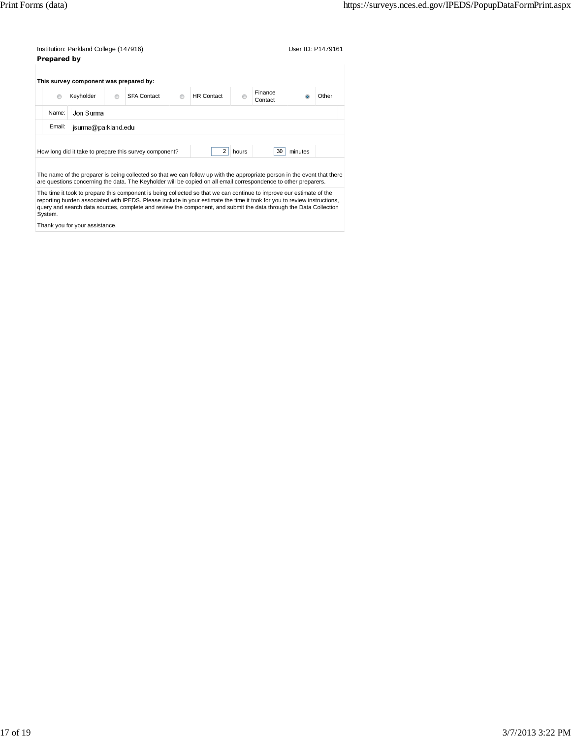| Institution: Parkland College (147916) | User ID: P1479161 |
|----------------------------------------|-------------------|
| Prepared by                            |                   |

|                    | This survey component was prepared by: |         |                                                        |  |                   |       |                    |         |       |
|--------------------|----------------------------------------|---------|--------------------------------------------------------|--|-------------------|-------|--------------------|---------|-------|
| $\odot$            | Keyholder                              | $\odot$ | <b>SFA Contact</b>                                     |  | <b>HR</b> Contact |       | Finance<br>Contact |         | Other |
| Jon Surma<br>Name: |                                        |         |                                                        |  |                   |       |                    |         |       |
| Email:             | jsuma@parkland.edu                     |         |                                                        |  |                   |       |                    |         |       |
|                    |                                        |         |                                                        |  |                   |       |                    |         |       |
|                    |                                        |         | How long did it take to prepare this survey component? |  | $\overline{2}$    | hours | 30                 | minutes |       |

The name of the preparer is being collected so that we can follow up with the appropriate person in the event that there<br>are questions concerning the data. The Keyholder will be copied on all email correspondence to other

The time it took to prepare this component is being collected so that we can continue to improve our estimate of the<br>reporting burden associated with IPEDS. Please include in your estimate the time it took for you to revie query and search data sources, complete and review the component, and submit the data through the Data Collection System.

Thank you for your assistance.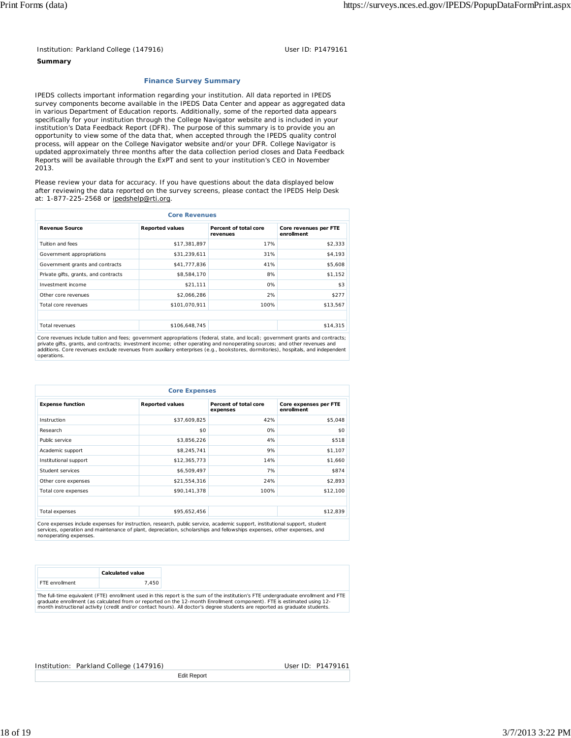## **Summary**

## **Finance Survey Summary**

IPEDS collects important information regarding your institution. All data reported in IPEDS survey components become available in the IPEDS Data Center and appear as aggregated data in various Department of Education reports. Additionally, some of the reported data appears specifically for your institution through the College Navigator website and is included in your institution's Data Feedback Report (DFR). The purpose of this summary is to provide you an opportunity to view some of the data that, when accepted through the IPEDS quality control process, will appear on the College Navigator website and/or your DFR. College Navigator is updated approximately three months after the data collection period closes and Data Feedback Reports will be available through the ExPT and sent to your institution's CEO in November 2013.

Please review your data for accuracy. If you have questions about the data displayed below after reviewing the data reported on the survey screens, please contact the IPEDS Help Desk at: 1-877-225-2568 or ipedshelp@rti.org.

| <b>Core Revenues</b>                 |                        |                                   |                                     |  |  |  |
|--------------------------------------|------------------------|-----------------------------------|-------------------------------------|--|--|--|
| <b>Revenue Source</b>                | <b>Reported values</b> | Percent of total core<br>revenues | Core revenues per FTE<br>enrollment |  |  |  |
| Tuition and fees                     | \$17,381,897           | 17%                               | \$2,333                             |  |  |  |
| Government appropriations            | \$31,239,611           | 31%                               | \$4,193                             |  |  |  |
| Government grants and contracts      | \$41,777,836           | 41%                               | \$5,608                             |  |  |  |
| Private gifts, grants, and contracts | \$8,584,170            | 8%                                | \$1,152                             |  |  |  |
| Investment income                    | \$21,111               | 0%                                | \$3                                 |  |  |  |
| Other core revenues                  | \$2,066,286            | 2%                                | \$277                               |  |  |  |
| Total core revenues                  | \$101,070,911          | 100%                              | \$13,567                            |  |  |  |
|                                      |                        |                                   |                                     |  |  |  |
| Total revenues                       | \$106,648,745          |                                   | \$14,315                            |  |  |  |

Core revenues include tuition and fees; government appropriations (federal, state, and local); government grants and contracts;<br>private gifts, grants, and contracts; investment income; other operating and nonoperating sour operations.

| <b>Core Expenses</b>    |                        |                                   |                                     |  |  |  |
|-------------------------|------------------------|-----------------------------------|-------------------------------------|--|--|--|
| <b>Expense function</b> | <b>Reported values</b> | Percent of total core<br>expenses | Core expenses per FTE<br>enrollment |  |  |  |
| Instruction             | \$37,609,825           | 42%                               | \$5,048                             |  |  |  |
| Research                | \$0                    | 0%                                | \$0                                 |  |  |  |
| Public service          | \$3,856,226            | 4%                                | \$518                               |  |  |  |
| Academic support        | \$8,245,741            | 9%                                | \$1,107                             |  |  |  |
| Institutional support   | \$12,365,773           | 14%                               | \$1,660                             |  |  |  |
| Student services        | \$6,509,497            | 7%                                | \$874                               |  |  |  |
| Other core expenses     | \$21,554,316           | 24%                               | \$2,893                             |  |  |  |
| Total core expenses     | \$90,141,378           | 100%                              | \$12,100                            |  |  |  |
|                         |                        |                                   |                                     |  |  |  |
| Total expenses          | \$95,652,456           |                                   | \$12,839                            |  |  |  |

Core expenses include expenses for instruction, research, public service, academic support, institutional support, student services, operation and maintenance of plant, depreciation, scholarships and fellowships expenses, other expenses, and nonoperating expenses.

|                       | Calculated value                                                                                                                   |
|-----------------------|------------------------------------------------------------------------------------------------------------------------------------|
| <b>FTF</b> enrollment | .450                                                                                                                               |
|                       | The full time equivalent (ETE) enrollment used in this report is the sum of the institution's ETE undergraduate enrollment and ETE |

The full-time equivalent (FTE) enrollment used in this report is the sum of the institution's FTE undergraduate enrollment and FTE<br>graduate enrollment (as calculated from or reported on the 12-month Enrollment component).

Edit Report